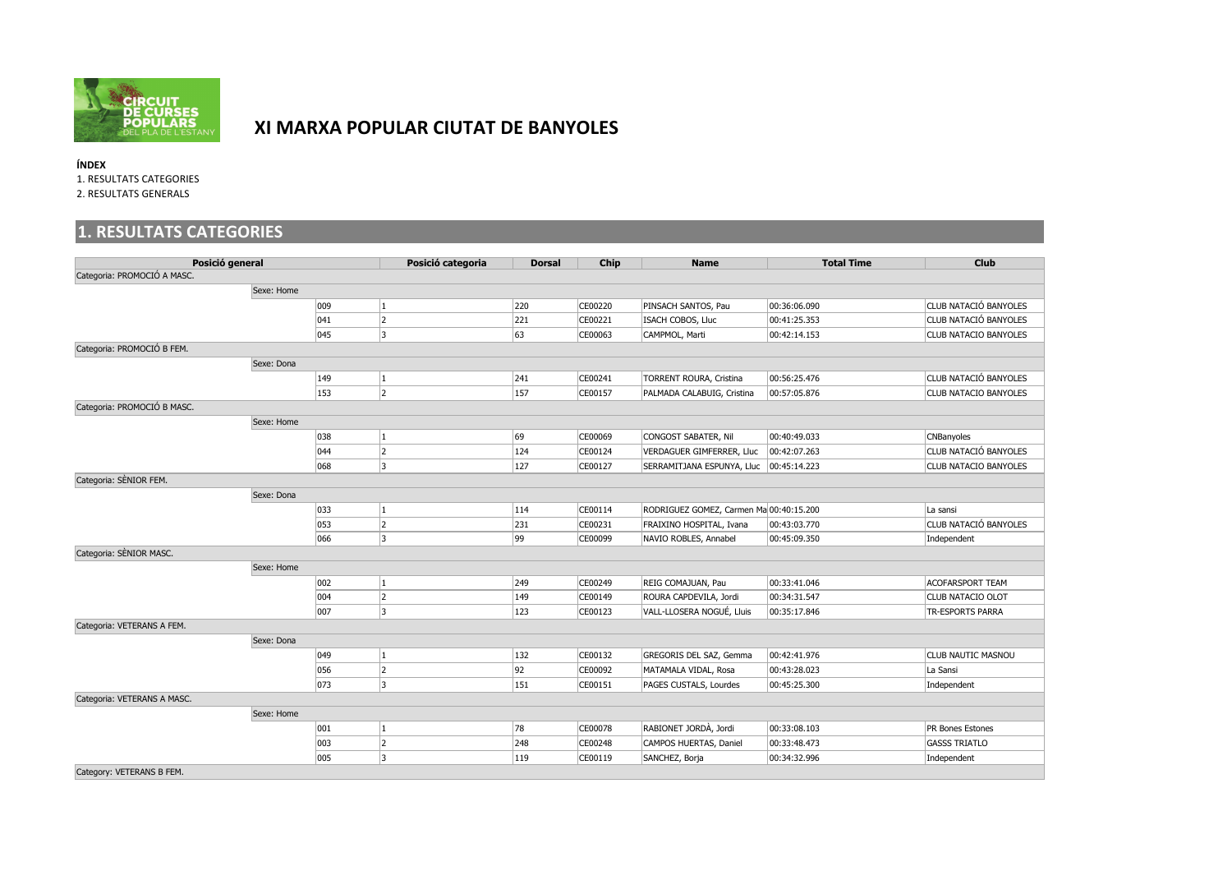

## **XI MARXA POPULAR CIUTAT DE BANYOLES**

**ÍNDEX** 

1. RESULTATS CATEGORIES

2. RESULTATS GENERALS

## **1. RESULTATS CATEGORIES**

| Posició general             |            | Posició categoria | <b>Dorsal</b>        | Chip | <b>Name</b> | <b>Total Time</b>                         | <b>Club</b>  |                              |
|-----------------------------|------------|-------------------|----------------------|------|-------------|-------------------------------------------|--------------|------------------------------|
| Categoria: PROMOCIÓ A MASC. |            |                   |                      |      |             |                                           |              |                              |
|                             | Sexe: Home |                   |                      |      |             |                                           |              |                              |
|                             |            | $ 009\rangle$     | 1                    | 220  | CE00220     | PINSACH SANTOS, Pau                       | 00:36:06.090 | CLUB NATACIÓ BANYOLES        |
|                             |            | 041               | 2                    | 221  | CE00221     | ISACH COBOS, Lluc                         | 00:41:25.353 | CLUB NATACIÓ BANYOLES        |
|                             |            | $ 045\rangle$     | 3                    | 63   | CE00063     | CAMPMOL, Marti                            | 00:42:14.153 | <b>CLUB NATACIO BANYOLES</b> |
| Categoria: PROMOCIÓ B FEM.  |            |                   |                      |      |             |                                           |              |                              |
|                             | Sexe: Dona |                   |                      |      |             |                                           |              |                              |
|                             |            | $ 149\rangle$     | 1                    | 241  | CE00241     | TORRENT ROURA, Cristina                   | 00:56:25.476 | CLUB NATACIÓ BANYOLES        |
|                             |            | 153               | $\vert$ <sub>2</sub> | 157  | CE00157     | PALMADA CALABUIG, Cristina                | 00:57:05.876 | <b>CLUB NATACIO BANYOLES</b> |
| Categoria: PROMOCIÓ B MASC. |            |                   |                      |      |             |                                           |              |                              |
|                             | Sexe: Home |                   |                      |      |             |                                           |              |                              |
|                             |            | 038               | $\vert$ 1            | 69   | CE00069     | CONGOST SABATER, Nil                      | 00:40:49.033 | <b>CNBanyoles</b>            |
|                             |            | $ 044\rangle$     | $\vert$ 2            | 124  | CE00124     | VERDAGUER GIMFERRER, Lluc                 | 00:42:07.263 | CLUB NATACIÓ BANYOLES        |
|                             |            | 068               | 3                    | 127  | CE00127     | SERRAMITJANA ESPUNYA, Lluc   00:45:14.223 |              | <b>CLUB NATACIO BANYOLES</b> |
| Categoria: SÈNIOR FEM.      |            |                   |                      |      |             |                                           |              |                              |
|                             | Sexe: Dona |                   |                      |      |             |                                           |              |                              |
|                             |            | 033               | 1                    | 114  | CE00114     | RODRIGUEZ GOMEZ, Carmen Ma 00:40:15.200   |              | La sansi                     |
|                             |            | $ 053\rangle$     | 2                    | 231  | CE00231     | FRAIXINO HOSPITAL, Ivana                  | 00:43:03.770 | CLUB NATACIÓ BANYOLES        |
|                             |            | 066               | 3                    | 99   | CE00099     | NAVIO ROBLES, Annabel                     | 00:45:09.350 | Independent                  |
| Categoria: SÈNIOR MASC.     |            |                   |                      |      |             |                                           |              |                              |
|                             | Sexe: Home |                   |                      |      |             |                                           |              |                              |
|                             |            | 002               | $\vert$ 1            | 249  | CE00249     | REIG COMAJUAN, Pau                        | 00:33:41.046 | <b>ACOFARSPORT TEAM</b>      |
|                             |            | 004               | $\vert$ 2            | 149  | CE00149     | ROURA CAPDEVILA, Jordi                    | 00:34:31.547 | <b>CLUB NATACIO OLOT</b>     |
|                             |            | 007               | 3                    | 123  | CE00123     | VALL-LLOSERA NOGUÉ, Lluis                 | 00:35:17.846 | TR-ESPORTS PARRA             |
| Categoria: VETERANS A FEM.  |            |                   |                      |      |             |                                           |              |                              |
|                             | Sexe: Dona |                   |                      |      |             |                                           |              |                              |
|                             |            | $ 049\rangle$     | 1                    | 132  | CE00132     | GREGORIS DEL SAZ, Gemma                   | 00:42:41.976 | <b>CLUB NAUTIC MASNOU</b>    |
|                             |            | 056               | 2                    | 92   | CE00092     | MATAMALA VIDAL, Rosa                      | 00:43:28.023 | La Sansi                     |
|                             |            | $ 073\rangle$     | 3                    | 151  | CE00151     | PAGES CUSTALS, Lourdes                    | 00:45:25.300 | Independent                  |
| Categoria: VETERANS A MASC. |            |                   |                      |      |             |                                           |              |                              |
|                             | Sexe: Home |                   |                      |      |             |                                           |              |                              |
|                             |            | 001               | 1                    | 78   | CE00078     | RABIONET JORDÀ, Jordi                     | 00:33:08.103 | PR Bones Estones             |
|                             |            | 003               | $\vert$ 2            | 248  | CE00248     | CAMPOS HUERTAS, Daniel                    | 00:33:48.473 | <b>GASSS TRIATLO</b>         |
|                             |            | $ 005\rangle$     | 3                    | 119  | CE00119     | SANCHEZ, Borja                            | 00:34:32.996 | Independent                  |
| Category: VETERANS B FEM.   |            |                   |                      |      |             |                                           |              |                              |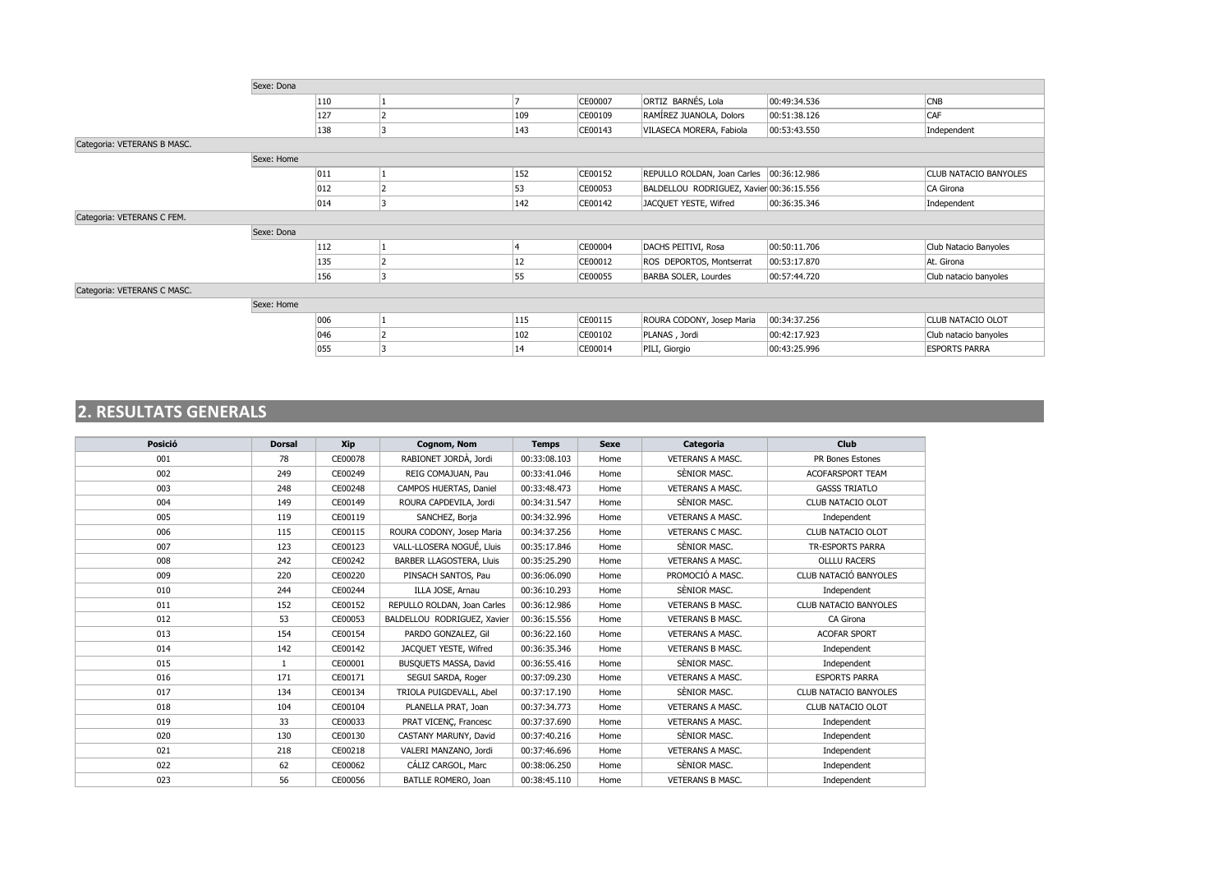|                             | Sexe: Dona |  |     |         |                                          |              |                              |  |  |  |  |
|-----------------------------|------------|--|-----|---------|------------------------------------------|--------------|------------------------------|--|--|--|--|
|                             | 110        |  |     | CE00007 | ORTIZ BARNÉS, Lola                       | 00:49:34.536 | <b>CNB</b>                   |  |  |  |  |
|                             | 127        |  | 109 | CE00109 | RAMÍREZ JUANOLA, Dolors                  | 00:51:38.126 | CAF                          |  |  |  |  |
|                             | 138        |  | 143 | CE00143 | VILASECA MORERA, Fabiola                 | 00:53:43.550 | Independent                  |  |  |  |  |
| Categoria: VETERANS B MASC. |            |  |     |         |                                          |              |                              |  |  |  |  |
|                             | Sexe: Home |  |     |         |                                          |              |                              |  |  |  |  |
|                             | 011        |  | 152 | CE00152 | REPULLO ROLDAN, Joan Carles 00:36:12.986 |              | <b>CLUB NATACIO BANYOLES</b> |  |  |  |  |
|                             | 012        |  | 53  | CE00053 | BALDELLOU RODRIGUEZ, Xavier 00:36:15.556 |              | CA Girona                    |  |  |  |  |
|                             | 014        |  | 142 | CE00142 | JACQUET YESTE, Wifred                    | 00:36:35.346 | Independent                  |  |  |  |  |
| Categoria: VETERANS C FEM.  |            |  |     |         |                                          |              |                              |  |  |  |  |
|                             | Sexe: Dona |  |     |         |                                          |              |                              |  |  |  |  |
|                             | 112        |  | 14  | CE00004 | DACHS PEITIVI, Rosa                      | 00:50:11.706 | Club Natacio Banyoles        |  |  |  |  |
|                             | 135        |  | 12  | CE00012 | ROS DEPORTOS, Montserrat                 | 00:53:17.870 | At. Girona                   |  |  |  |  |
|                             | 156        |  | 55  | CE00055 | <b>BARBA SOLER, Lourdes</b>              | 00:57:44.720 | Club natacio banyoles        |  |  |  |  |
| Categoria: VETERANS C MASC. |            |  |     |         |                                          |              |                              |  |  |  |  |
|                             | Sexe: Home |  |     |         |                                          |              |                              |  |  |  |  |
|                             | 006        |  | 115 | CE00115 | ROURA CODONY, Josep Maria                | 00:34:37.256 | CLUB NATACIO OLOT            |  |  |  |  |
|                             | 046        |  | 102 | CE00102 | PLANAS, Jordi                            | 00:42:17.923 | Club natacio banyoles        |  |  |  |  |
|                             | 055        |  | 14  | CE00014 | PILI, Giorgio                            | 00:43:25.996 | <b>ESPORTS PARRA</b>         |  |  |  |  |
|                             |            |  |     |         |                                          |              |                              |  |  |  |  |

## **2. RESULTATS GENERALS**

| Posició | <b>Dorsal</b> | Xip     | Cognom, Nom                 | <b>Temps</b> | <b>Sexe</b> | Categoria               | Club                  |
|---------|---------------|---------|-----------------------------|--------------|-------------|-------------------------|-----------------------|
| 001     | 78            | CE00078 | RABIONET JORDÀ, Jordi       | 00:33:08.103 | Home        | <b>VETERANS A MASC.</b> | PR Bones Estones      |
| 002     | 249           | CE00249 | REIG COMAJUAN, Pau          | 00:33:41.046 | Home        | SÈNIOR MASC.            | ACOFARSPORT TEAM      |
| 003     | 248           | CE00248 | CAMPOS HUERTAS, Daniel      | 00:33:48.473 | Home        | VETERANS A MASC.        | <b>GASSS TRIATLO</b>  |
| 004     | 149           | CE00149 | ROURA CAPDEVILA, Jordi      | 00:34:31.547 | Home        | SÈNIOR MASC.            | CLUB NATACIO OLOT     |
| 005     | 119           | CE00119 | SANCHEZ, Borja              | 00:34:32.996 | Home        | <b>VETERANS A MASC.</b> | Independent           |
| 006     | 115           | CE00115 | ROURA CODONY, Josep Maria   | 00:34:37.256 | Home        | <b>VETERANS C MASC.</b> | CLUB NATACIO OLOT     |
| 007     | 123           | CE00123 | VALL-LLOSERA NOGUÉ, Lluis   | 00:35:17.846 | Home        | SÈNIOR MASC.            | TR-ESPORTS PARRA      |
| 008     | 242           | CE00242 | BARBER LLAGOSTERA, Lluis    | 00:35:25.290 | Home        | <b>VETERANS A MASC.</b> | <b>OLLLU RACERS</b>   |
| 009     | 220           | CE00220 | PINSACH SANTOS, Pau         | 00:36:06.090 | Home        | PROMOCIÓ A MASC.        | CLUB NATACIÓ BANYOLES |
| 010     | 244           | CE00244 | ILLA JOSE, Arnau            | 00:36:10.293 | Home        | SÈNIOR MASC.            | Independent           |
| 011     | 152           | CE00152 | REPULLO ROLDAN, Joan Carles | 00:36:12.986 | Home        | <b>VETERANS B MASC.</b> | CLUB NATACIO BANYOLES |
| 012     | 53            | CE00053 | BALDELLOU RODRIGUEZ, Xavier | 00:36:15.556 | Home        | <b>VETERANS B MASC.</b> | CA Girona             |
| 013     | 154           | CE00154 | PARDO GONZALEZ, Gil         | 00:36:22.160 | Home        | <b>VETERANS A MASC.</b> | <b>ACOFAR SPORT</b>   |
| 014     | 142           | CE00142 | JACQUET YESTE, Wifred       | 00:36:35.346 | Home        | <b>VETERANS B MASC.</b> | Independent           |
| 015     | 1             | CE00001 | BUSQUETS MASSA, David       | 00:36:55.416 | Home        | SÈNIOR MASC.            | Independent           |
| 016     | 171           | CE00171 | SEGUI SARDA, Roger          | 00:37:09.230 | Home        | <b>VETERANS A MASC.</b> | <b>ESPORTS PARRA</b>  |
| 017     | 134           | CE00134 | TRIOLA PUIGDEVALL, Abel     | 00:37:17.190 | Home        | SÈNIOR MASC.            | CLUB NATACIO BANYOLES |
| 018     | 104           | CE00104 | PLANELLA PRAT, Joan         | 00:37:34.773 | Home        | <b>VETERANS A MASC.</b> | CLUB NATACIO OLOT     |
| 019     | 33            | CE00033 | PRAT VICENC, Francesc       | 00:37:37.690 | Home        | <b>VETERANS A MASC.</b> | Independent           |
| 020     | 130           | CE00130 | CASTANY MARUNY, David       | 00:37:40.216 | Home        | SÈNIOR MASC.            | Independent           |
| 021     | 218           | CE00218 | VALERI MANZANO, Jordi       | 00:37:46.696 | Home        | <b>VETERANS A MASC.</b> | Independent           |
| 022     | 62            | CE00062 | CÁLIZ CARGOL, Marc          | 00:38:06.250 | Home        | SÈNIOR MASC.            | Independent           |
| 023     | 56            | CE00056 | BATLLE ROMERO, Joan         | 00:38:45.110 | Home        | <b>VETERANS B MASC.</b> | Independent           |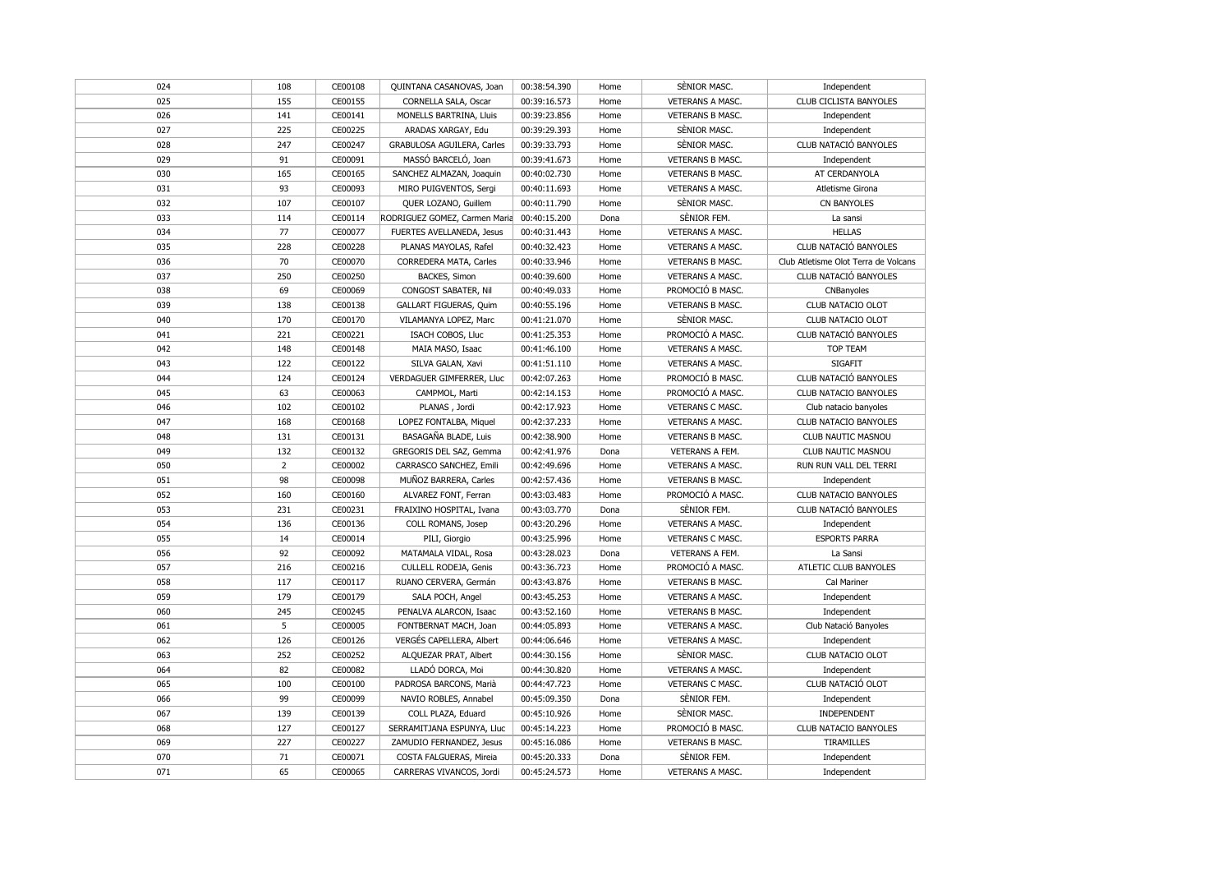| 024 | 108            | CE00108            | QUINTANA CASANOVAS, Joan                          | 00:38:54.390                 | Home         | SÈNIOR MASC.            | Independent                          |
|-----|----------------|--------------------|---------------------------------------------------|------------------------------|--------------|-------------------------|--------------------------------------|
| 025 | 155            | CE00155            | CORNELLA SALA, Oscar                              | 00:39:16.573                 | Home         | VETERANS A MASC.        | <b>CLUB CICLISTA BANYOLES</b>        |
| 026 | 141            | CE00141            | MONELLS BARTRINA, Lluis                           | 00:39:23.856                 | Home         | VETERANS B MASC.        | Independent                          |
| 027 | 225            | CE00225            | ARADAS XARGAY, Edu                                | 00:39:29.393                 | Home         | SÈNIOR MASC.            | Independent                          |
| 028 | 247            | CE00247            | GRABULOSA AGUILERA, Carles                        | 00:39:33.793                 | Home         | SÈNIOR MASC.            | CLUB NATACIÓ BANYOLES                |
| 029 | 91             | CE00091            | MASSÓ BARCELÓ, Joan                               | 00:39:41.673                 | Home         | <b>VETERANS B MASC.</b> | Independent                          |
| 030 | 165            | CE00165            | SANCHEZ ALMAZAN, Joaquin                          | 00:40:02.730                 | Home         | <b>VETERANS B MASC.</b> | AT CERDANYOLA                        |
| 031 | 93             | CE00093            | MIRO PUIGVENTOS, Sergi                            | 00:40:11.693                 | Home         | <b>VETERANS A MASC.</b> | Atletisme Girona                     |
| 032 | 107            | CE00107            | QUER LOZANO, Guillem                              | 00:40:11.790                 | Home         | SÈNIOR MASC.            | <b>CN BANYOLES</b>                   |
| 033 | 114            | CE00114            | RODRIGUEZ GOMEZ, Carmen Maria                     | 00:40:15.200                 | Dona         | SÈNIOR FEM.             | La sansi                             |
| 034 | 77             | CE00077            | FUERTES AVELLANEDA, Jesus                         | 00:40:31.443                 | Home         | VETERANS A MASC.        | <b>HELLAS</b>                        |
| 035 | 228            | CE00228            | PLANAS MAYOLAS, Rafel                             | 00:40:32.423                 | Home         | VETERANS A MASC.        | CLUB NATACIÓ BANYOLES                |
| 036 | 70             | CE00070            | CORREDERA MATA, Carles                            | 00:40:33.946                 | Home         | <b>VETERANS B MASC.</b> | Club Atletisme Olot Terra de Volcans |
| 037 | 250            | CE00250            | BACKES, Simon                                     | 00:40:39.600                 | Home         | VETERANS A MASC.        | CLUB NATACIÓ BANYOLES                |
| 038 | 69             | CE00069            | CONGOST SABATER, Nil                              | 00:40:49.033                 | Home         | PROMOCIÓ B MASC.        | CNBanyoles                           |
| 039 | 138            | CE00138            | GALLART FIGUERAS, Quim                            | 00:40:55.196                 | Home         | VETERANS B MASC.        | CLUB NATACIO OLOT                    |
| 040 | 170            | CE00170            | VILAMANYA LOPEZ, Marc                             | 00:41:21.070                 | Home         | SÈNIOR MASC.            | CLUB NATACIO OLOT                    |
| 041 | 221            | CE00221            | ISACH COBOS, Lluc                                 | 00:41:25.353                 | Home         | PROMOCIÓ A MASC.        | CLUB NATACIÓ BANYOLES                |
| 042 | 148            | CE00148            | MAIA MASO, Isaac                                  | 00:41:46.100                 | Home         | VETERANS A MASC.        | <b>TOP TEAM</b>                      |
| 043 | 122            | CE00122            | SILVA GALAN, Xavi                                 | 00:41:51.110                 | Home         | VETERANS A MASC.        | <b>SIGAFIT</b>                       |
| 044 | 124            | CE00124            | VERDAGUER GIMFERRER, Lluc                         | 00:42:07.263                 | Home         | PROMOCIÓ B MASC.        | CLUB NATACIÓ BANYOLES                |
| 045 | 63             | CE00063            | CAMPMOL, Marti                                    | 00:42:14.153                 | Home         | PROMOCIÓ A MASC.        | <b>CLUB NATACIO BANYOLES</b>         |
| 046 | 102            | CE00102            | PLANAS, Jordi                                     | 00:42:17.923                 | Home         | VETERANS C MASC.        | Club natacio banyoles                |
| 047 | 168            | CE00168            | LOPEZ FONTALBA, Miquel                            | 00:42:37.233                 | Home         | VETERANS A MASC.        | CLUB NATACIO BANYOLES                |
| 048 | 131            | CE00131            | BASAGAÑA BLADE, Luis                              | 00:42:38.900                 | Home         | VETERANS B MASC.        | CLUB NAUTIC MASNOU                   |
| 049 | 132            | CE00132            | GREGORIS DEL SAZ, Gemma                           | 00:42:41.976                 | Dona         | VETERANS A FEM.         | CLUB NAUTIC MASNOU                   |
| 050 | $\overline{2}$ | CE00002            | CARRASCO SANCHEZ, Emili                           | 00:42:49.696                 | Home         | <b>VETERANS A MASC.</b> | RUN RUN VALL DEL TERRI               |
| 051 | 98             | CE00098            | MUÑOZ BARRERA, Carles                             | 00:42:57.436                 | Home         | VETERANS B MASC.        | Independent                          |
| 052 | 160            | CE00160            | ALVAREZ FONT, Ferran                              | 00:43:03.483                 | Home         | PROMOCIÓ A MASC.        | CLUB NATACIO BANYOLES                |
| 053 | 231            | CE00231            | FRAIXINO HOSPITAL, Ivana                          | 00:43:03.770                 | Dona         | SÈNIOR FEM.             | CLUB NATACIÓ BANYOLES                |
| 054 | 136            | CE00136            | COLL ROMANS, Josep                                | 00:43:20.296                 | Home         | VETERANS A MASC.        | Independent                          |
| 055 | 14             | CE00014            | PILI, Giorgio                                     | 00:43:25.996                 | Home         | VETERANS C MASC.        | <b>ESPORTS PARRA</b>                 |
| 056 | 92             | CE00092            | MATAMALA VIDAL, Rosa                              | 00:43:28.023                 | Dona         | VETERANS A FEM.         | La Sansi                             |
| 057 |                |                    | CULLELL RODEJA, Genis                             |                              |              | PROMOCIÓ A MASC.        | ATLETIC CLUB BANYOLES                |
| 058 | 216<br>117     | CE00216<br>CE00117 | RUANO CERVERA, Germán                             | 00:43:36.723<br>00:43:43.876 | Home<br>Home | <b>VETERANS B MASC.</b> | Cal Mariner                          |
| 059 | 179            | CE00179            | SALA POCH, Angel                                  | 00:43:45.253                 | Home         | VETERANS A MASC.        | Independent                          |
| 060 | 245            | CE00245            | PENALVA ALARCON, Isaac                            | 00:43:52.160                 | Home         | <b>VETERANS B MASC.</b> | Independent                          |
|     | 5              |                    |                                                   |                              |              |                         |                                      |
| 061 | 126            | CE00005            | FONTBERNAT MACH, Joan<br>VERGÉS CAPELLERA, Albert | 00:44:05.893                 | Home         | VETERANS A MASC.        | Club Natació Banyoles                |
| 062 |                | CE00126            |                                                   | 00:44:06.646                 | Home         | VETERANS A MASC.        | Independent                          |
| 063 | 252            | CE00252            | ALQUEZAR PRAT, Albert                             | 00:44:30.156                 | Home         | SÈNIOR MASC.            | CLUB NATACIO OLOT                    |
| 064 | 82             | CE00082            | LLADÓ DORCA, Moi                                  | 00:44:30.820                 | Home         | <b>VETERANS A MASC.</b> | Independent                          |
| 065 | 100            | CE00100            | PADROSA BARCONS, Marià                            | 00:44:47.723                 | Home         | VETERANS C MASC.        | CLUB NATACIÓ OLOT                    |
| 066 | 99             | CE00099            | NAVIO ROBLES, Annabel                             | 00:45:09.350                 | Dona         | SENIOR FEM.             | Independent                          |
| 067 | 139            | CE00139            | COLL PLAZA, Eduard                                | 00:45:10.926                 | Home         | SÈNIOR MASC.            | INDEPENDENT                          |
| 068 | 127            | CE00127            | SERRAMITJANA ESPUNYA, Lluc                        | 00:45:14.223                 | Home         | PROMOCIÓ B MASC.        | CLUB NATACIO BANYOLES                |
| 069 | 227            | CE00227            | ZAMUDIO FERNANDEZ, Jesus                          | 00:45:16.086                 | Home         | <b>VETERANS B MASC.</b> | TIRAMILLES                           |
| 070 | 71             | CE00071            | COSTA FALGUERAS, Mireia                           | 00:45:20.333                 | Dona         | SÈNIOR FEM.             | Independent                          |
| 071 | 65             | CE00065            | CARRERAS VIVANCOS, Jordi                          | 00:45:24.573                 | Home         | <b>VETERANS A MASC.</b> | Independent                          |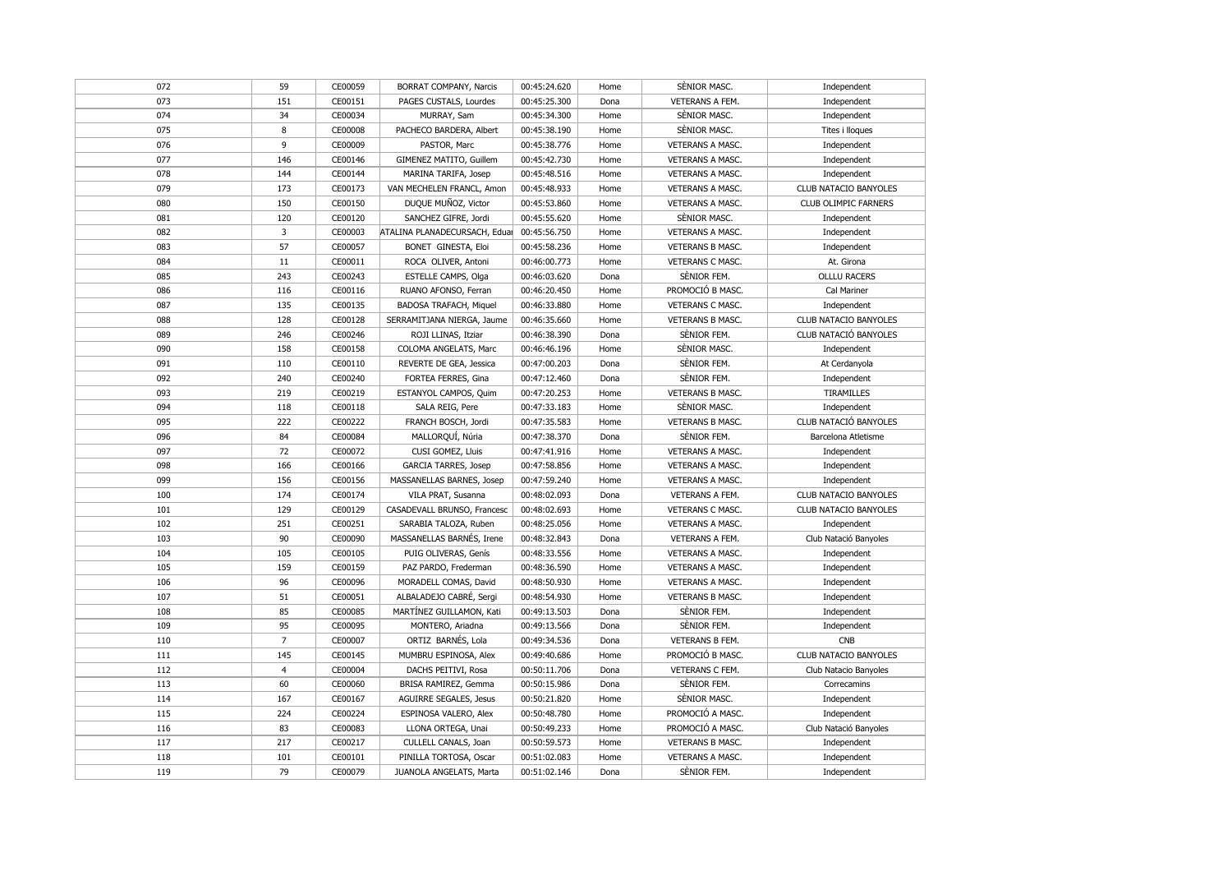| 072 | 59             | CE00059 | BORRAT COMPANY, Narcis        | 00:45:24.620 | Home | SÈNIOR MASC.            | Independent           |
|-----|----------------|---------|-------------------------------|--------------|------|-------------------------|-----------------------|
| 073 | 151            | CE00151 | PAGES CUSTALS, Lourdes        | 00:45:25.300 | Dona | VETERANS A FEM.         | Independent           |
| 074 | 34             | CE00034 | MURRAY, Sam                   | 00:45:34.300 | Home | SENIOR MASC.            | Independent           |
| 075 | 8              | CE00008 | PACHECO BARDERA, Albert       | 00:45:38.190 | Home | SÈNIOR MASC.            | Tites i lloques       |
| 076 | 9              | CE00009 | PASTOR, Marc                  | 00:45:38.776 | Home | VETERANS A MASC.        | Independent           |
| 077 | 146            | CE00146 | GIMENEZ MATITO, Guillem       | 00:45:42.730 | Home | VETERANS A MASC.        | Independent           |
| 078 | 144            | CE00144 | MARINA TARIFA, Josep          | 00:45:48.516 | Home | VETERANS A MASC.        | Independent           |
| 079 | 173            | CE00173 | VAN MECHELEN FRANCL, Amon     | 00:45:48.933 | Home | VETERANS A MASC.        | CLUB NATACIO BANYOLES |
| 080 | 150            | CE00150 | DUQUE MUÑOZ, Victor           | 00:45:53.860 | Home | VETERANS A MASC.        | CLUB OLIMPIC FARNERS  |
| 081 | 120            | CE00120 | SANCHEZ GIFRE, Jordi          | 00:45:55.620 | Home | SÈNIOR MASC.            | Independent           |
| 082 | 3              | CE00003 | ATALINA PLANADECURSACH, Eduar | 00:45:56.750 | Home | VETERANS A MASC.        | Independent           |
| 083 | 57             | CE00057 | BONET GINESTA, Eloi           | 00:45:58.236 | Home | <b>VETERANS B MASC.</b> | Independent           |
| 084 | 11             | CE00011 | ROCA OLIVER, Antoni           | 00:46:00.773 | Home | VETERANS C MASC.        | At. Girona            |
| 085 | 243            | CE00243 | ESTELLE CAMPS, Olga           | 00:46:03.620 | Dona | SÈNIOR FEM.             | <b>OLLLU RACERS</b>   |
| 086 | 116            | CE00116 | RUANO AFONSO, Ferran          | 00:46:20.450 | Home | PROMOCIÓ B MASC.        | Cal Mariner           |
| 087 | 135            | CE00135 | BADOSA TRAFACH, Miquel        | 00:46:33.880 | Home | VETERANS C MASC.        | Independent           |
| 088 | 128            | CE00128 | SERRAMITJANA NIERGA, Jaume    | 00:46:35.660 | Home | VETERANS B MASC.        | CLUB NATACIO BANYOLES |
| 089 | 246            | CE00246 | ROJI LLINAS, Itziar           | 00:46:38.390 | Dona | SÈNIOR FEM.             | CLUB NATACIÓ BANYOLES |
| 090 | 158            | CE00158 | COLOMA ANGELATS, Marc         | 00:46:46.196 | Home | SÈNIOR MASC.            | Independent           |
| 091 | 110            | CE00110 | REVERTE DE GEA, Jessica       | 00:47:00.203 | Dona | SÈNIOR FEM.             | At Cerdanyola         |
| 092 | 240            | CE00240 | FORTEA FERRES, Gina           | 00:47:12.460 | Dona | SÈNIOR FEM.             | Independent           |
| 093 | 219            | CE00219 | ESTANYOL CAMPOS, Quim         | 00:47:20.253 | Home | <b>VETERANS B MASC.</b> | <b>TIRAMILLES</b>     |
| 094 | 118            | CE00118 | SALA REIG, Pere               | 00:47:33.183 | Home | SÈNIOR MASC.            | Independent           |
| 095 | 222            | CE00222 | FRANCH BOSCH, Jordi           | 00:47:35.583 | Home | <b>VETERANS B MASC.</b> | CLUB NATACIÓ BANYOLES |
| 096 | 84             | CE00084 | MALLORQUÍ, Núria              | 00:47:38.370 | Dona | SENIOR FEM.             | Barcelona Atletisme   |
| 097 | 72             | CE00072 | CUSI GOMEZ, Lluis             | 00:47:41.916 | Home | VETERANS A MASC.        | Independent           |
| 098 | 166            | CE00166 | <b>GARCIA TARRES, Josep</b>   | 00:47:58.856 | Home | VETERANS A MASC.        | Independent           |
| 099 | 156            | CE00156 | MASSANELLAS BARNES, Josep     | 00:47:59.240 | Home | VETERANS A MASC.        | Independent           |
| 100 | 174            | CE00174 | VILA PRAT, Susanna            | 00:48:02.093 | Dona | VETERANS A FEM.         | CLUB NATACIO BANYOLES |
| 101 | 129            | CE00129 | CASADEVALL BRUNSO, Francesc   | 00:48:02.693 | Home | VETERANS C MASC.        | CLUB NATACIO BANYOLES |
| 102 | 251            | CE00251 | SARABIA TALOZA, Ruben         | 00:48:25.056 | Home | VETERANS A MASC.        | Independent           |
| 103 | 90             | CE00090 | MASSANELLAS BARNÉS, Irene     | 00:48:32.843 | Dona | VETERANS A FEM.         | Club Natació Banyoles |
| 104 | 105            | CE00105 | PUIG OLIVERAS, Genís          | 00:48:33.556 | Home | VETERANS A MASC.        | Independent           |
| 105 | 159            | CE00159 | PAZ PARDO, Frederman          | 00:48:36.590 | Home | VETERANS A MASC.        | Independent           |
| 106 | 96             | CE00096 | MORADELL COMAS, David         | 00:48:50.930 | Home | VETERANS A MASC.        | Independent           |
| 107 | 51             | CE00051 | ALBALADEJO CABRÉ, Sergi       | 00:48:54.930 | Home | <b>VETERANS B MASC.</b> | Independent           |
| 108 | 85             | CE00085 | MARTÍNEZ GUILLAMON, Kati      | 00:49:13.503 | Dona | SÈNIOR FEM.             | Independent           |
| 109 | 95             | CE00095 | MONTERO, Ariadna              | 00:49:13.566 | Dona | SÈNIOR FEM.             | Independent           |
| 110 | $\overline{7}$ | CE00007 | ORTIZ BARNÉS, Lola            | 00:49:34.536 | Dona | VETERANS B FEM.         | <b>CNB</b>            |
| 111 | 145            | CE00145 | MUMBRU ESPINOSA, Alex         | 00:49:40.686 | Home | PROMOCIÓ B MASC.        | CLUB NATACIO BANYOLES |
| 112 | $\overline{4}$ | CE00004 | DACHS PEITIVI, Rosa           | 00:50:11.706 | Dona | VETERANS C FEM.         | Club Natacio Banyoles |
| 113 | 60             | CE00060 | BRISA RAMIREZ, Gemma          | 00:50:15.986 | Dona | SÈNIOR FEM.             | Correcamins           |
| 114 | 167            | CE00167 | AGUIRRE SEGALES, Jesus        | 00:50:21.820 | Home | SENIOR MASC.            | Independent           |
| 115 | 224            | CE00224 | ESPINOSA VALERO, Alex         | 00:50:48.780 | Home | PROMOCIÓ A MASC.        | Independent           |
| 116 | 83             | CE00083 | LLONA ORTEGA, Unai            | 00:50:49.233 | Home | PROMOCIÓ A MASC.        | Club Natació Banyoles |
| 117 | 217            | CE00217 | CULLELL CANALS, Joan          | 00:50:59.573 | Home | <b>VETERANS B MASC.</b> | Independent           |
| 118 | 101            | CE00101 | PINILLA TORTOSA, Oscar        | 00:51:02.083 | Home | VETERANS A MASC.        | Independent           |
| 119 | 79             | CE00079 | JUANOLA ANGELATS, Marta       | 00:51:02.146 | Dona | SÈNIOR FEM.             | Independent           |
|     |                |         |                               |              |      |                         |                       |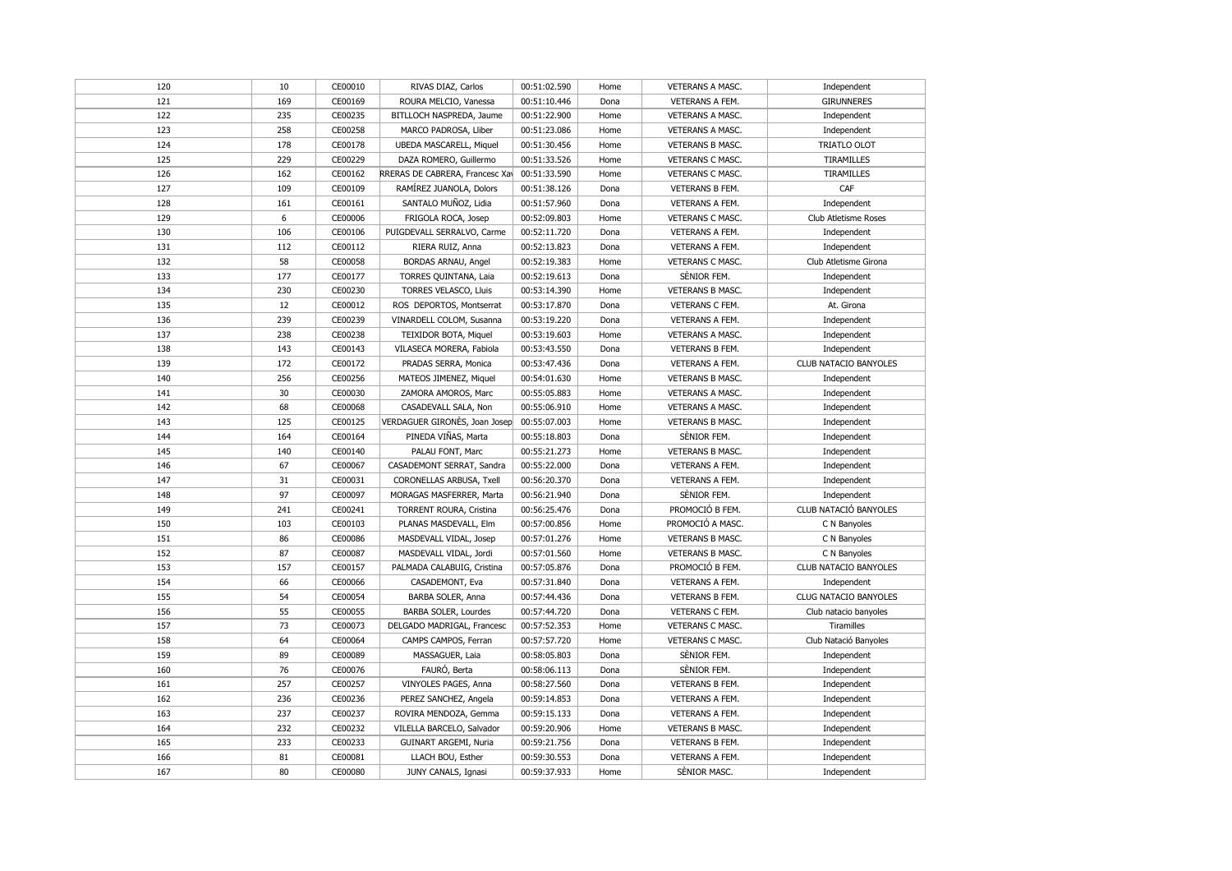| 120 | 10  | CE00010 | RIVAS DIAZ, Carlos              | 00:51:02.590 | Home | VETERANS A MASC.        | Independent           |
|-----|-----|---------|---------------------------------|--------------|------|-------------------------|-----------------------|
| 121 | 169 | CE00169 | ROURA MELCIO, Vanessa           | 00:51:10.446 | Dona | VETERANS A FEM.         | <b>GIRUNNERES</b>     |
| 122 | 235 | CE00235 | BITLLOCH NASPREDA, Jaume        | 00:51:22.900 | Home | VETERANS A MASC.        | Independent           |
| 123 | 258 | CE00258 | MARCO PADROSA, Lliber           | 00:51:23.086 | Home | VETERANS A MASC.        | Independent           |
| 124 | 178 | CE00178 | UBEDA MASCARELL, Miquel         | 00:51:30.456 | Home | VETERANS B MASC.        | TRIATLO OLOT          |
| 125 | 229 | CE00229 | DAZA ROMERO, Guillermo          | 00:51:33.526 | Home | VETERANS C MASC.        | TIRAMILLES            |
| 126 | 162 | CE00162 | RRERAS DE CABRERA, Francesc Xav | 00:51:33.590 | Home | VETERANS C MASC.        | TIRAMILLES            |
| 127 | 109 | CE00109 | RAMÍREZ JUANOLA, Dolors         | 00:51:38.126 | Dona | VETERANS B FEM.         | CAF                   |
| 128 | 161 | CE00161 | SANTALO MUÑOZ, Lidia            | 00:51:57.960 | Dona | VETERANS A FEM.         | Independent           |
| 129 | 6   | CE00006 | FRIGOLA ROCA, Josep             | 00:52:09.803 | Home | VETERANS C MASC.        | Club Atletisme Roses  |
| 130 | 106 | CE00106 | PUIGDEVALL SERRALVO, Carme      | 00:52:11.720 | Dona | VETERANS A FEM.         | Independent           |
| 131 | 112 | CE00112 | RIERA RUIZ, Anna                | 00:52:13.823 | Dona | VETERANS A FEM.         | Independent           |
| 132 | 58  | CE00058 | BORDAS ARNAU, Angel             | 00:52:19.383 | Home | VETERANS C MASC.        | Club Atletisme Girona |
| 133 | 177 | CE00177 | TORRES QUINTANA, Laia           | 00:52:19.613 | Dona | SÈNIOR FEM.             | Independent           |
| 134 | 230 | CE00230 | TORRES VELASCO, Lluis           | 00:53:14.390 | Home | VETERANS B MASC.        | Independent           |
| 135 | 12  | CE00012 | ROS DEPORTOS, Montserrat        | 00:53:17.870 | Dona | VETERANS C FEM.         | At. Girona            |
| 136 | 239 | CE00239 | VINARDELL COLOM, Susanna        | 00:53:19.220 | Dona | VETERANS A FEM.         | Independent           |
| 137 | 238 | CE00238 | TEIXIDOR BOTA, Miquel           | 00:53:19.603 | Home | VETERANS A MASC.        | Independent           |
| 138 | 143 | CE00143 | VILASECA MORERA, Fabiola        | 00:53:43.550 | Dona | VETERANS B FEM.         | Independent           |
| 139 | 172 | CE00172 | PRADAS SERRA, Monica            | 00:53:47.436 | Dona | VETERANS A FEM.         | CLUB NATACIO BANYOLES |
| 140 | 256 | CE00256 | MATEOS JIMENEZ, Miquel          | 00:54:01.630 | Home | <b>VETERANS B MASC.</b> | Independent           |
| 141 | 30  | CE00030 | ZAMORA AMOROS, Marc             | 00:55:05.883 | Home | <b>VETERANS A MASC.</b> | Independent           |
| 142 | 68  | CE00068 | CASADEVALL SALA, Non            | 00:55:06.910 | Home | VETERANS A MASC.        | Independent           |
| 143 | 125 | CE00125 | VERDAGUER GIRONÈS, Joan Josep   | 00:55:07.003 | Home | VETERANS B MASC.        | Independent           |
| 144 | 164 | CE00164 | PINEDA VIÑAS, Marta             | 00:55:18.803 | Dona | SÈNIOR FEM.             | Independent           |
| 145 | 140 | CE00140 | PALAU FONT, Marc                | 00:55:21.273 | Home | VETERANS B MASC.        | Independent           |
| 146 | 67  | CE00067 | CASADEMONT SERRAT, Sandra       | 00:55:22.000 | Dona | VETERANS A FEM.         | Independent           |
| 147 | 31  | CE00031 | CORONELLAS ARBUSA, Txell        | 00:56:20.370 | Dona | VETERANS A FEM.         | Independent           |
| 148 | 97  | CE00097 | MORAGAS MASFERRER, Marta        | 00:56:21.940 | Dona | SÈNIOR FEM.             | Independent           |
| 149 | 241 | CE00241 | TORRENT ROURA, Cristina         | 00:56:25.476 | Dona | PROMOCIÓ B FEM.         | CLUB NATACIÓ BANYOLES |
| 150 | 103 | CE00103 | PLANAS MASDEVALL, Elm           | 00:57:00.856 | Home | PROMOCIÓ A MASC.        | C N Banyoles          |
| 151 | 86  | CE00086 | MASDEVALL VIDAL, Josep          | 00:57:01.276 | Home | VETERANS B MASC.        | C N Banyoles          |
| 152 | 87  | CE00087 | MASDEVALL VIDAL, Jordi          | 00:57:01.560 | Home | VETERANS B MASC.        | C N Banyoles          |
| 153 | 157 | CE00157 | PALMADA CALABUIG, Cristina      | 00:57:05.876 | Dona | PROMOCIÓ B FEM.         | CLUB NATACIO BANYOLES |
| 154 | 66  | CE00066 | CASADEMONT, Eva                 | 00:57:31.840 | Dona | VETERANS A FEM.         | Independent           |
| 155 | 54  | CE00054 | BARBA SOLER, Anna               | 00:57:44.436 | Dona | VETERANS B FEM.         | CLUG NATACIO BANYOLES |
| 156 | 55  | CE00055 | <b>BARBA SOLER, Lourdes</b>     | 00:57:44.720 | Dona | VETERANS C FEM.         | Club natacio banyoles |
| 157 | 73  | CE00073 | DELGADO MADRIGAL, Francesc      | 00:57:52.353 | Home | VETERANS C MASC.        | <b>Tiramilles</b>     |
| 158 | 64  | CE00064 | CAMPS CAMPOS, Ferran            | 00:57:57.720 | Home | VETERANS C MASC.        | Club Natació Banyoles |
| 159 | 89  | CE00089 | MASSAGUER, Laia                 | 00:58:05.803 | Dona | SÈNIOR FEM.             | Independent           |
| 160 | 76  | CE00076 | FAURÓ, Berta                    | 00:58:06.113 | Dona | SÈNIOR FEM.             | Independent           |
| 161 | 257 | CE00257 | VINYOLES PAGES, Anna            | 00:58:27.560 | Dona | VETERANS B FEM.         | Independent           |
| 162 | 236 | CE00236 | PEREZ SANCHEZ, Angela           | 00:59:14.853 | Dona | VETERANS A FEM.         | Independent           |
| 163 | 237 | CE00237 | ROVIRA MENDOZA, Gemma           | 00:59:15.133 | Dona | VETERANS A FEM.         | Independent           |
| 164 | 232 | CE00232 | VILELLA BARCELO, Salvador       | 00:59:20.906 | Home | <b>VETERANS B MASC.</b> | Independent           |
| 165 | 233 | CE00233 | GUINART ARGEMI, Nuria           | 00:59:21.756 | Dona | VETERANS B FEM.         | Independent           |
| 166 | 81  | CE00081 | LLACH BOU, Esther               | 00:59:30.553 | Dona | VETERANS A FEM.         | Independent           |
| 167 | 80  | CE00080 | JUNY CANALS, Ignasi             | 00:59:37.933 | Home | SÈNIOR MASC.            | Independent           |
|     |     |         |                                 |              |      |                         |                       |